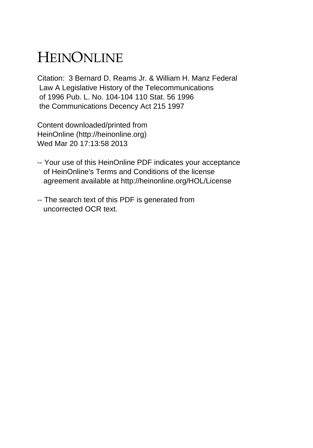# HEINONLINE

Citation: 3 Bernard D. Reams Jr. & William H. Manz Federal Law A Legislative History of the Telecommunications of 1996 Pub. L. No. 104-104 110 Stat. 56 1996 the Communications Decency Act 215 1997

Content downloaded/printed from HeinOnline (http://heinonline.org) Wed Mar 20 17:13:58 2013

- -- Your use of this HeinOnline PDF indicates your acceptance of HeinOnline's Terms and Conditions of the license agreement available at http://heinonline.org/HOL/License
- -- The search text of this PDF is generated from uncorrected OCR text.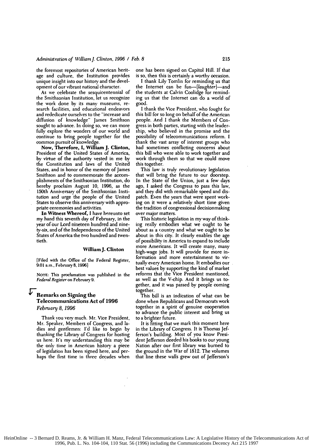the foremost repositories of American heritage and culture, the Institution provides unique insight into our history and the development of our vibrant national character.

As we celebrate the sesquicentennial of the Smithsonian Institution, let us recognize the work done by its many museums, research facilities, and educational endeavors and rededicate ourselves to the "increase and diffusion of knowledge" James Smithson sought to advance. In doing so, we can more fully explore the wonders of our world and continue to bring people together for the common pursuit of knowledge.

Now, **Therefore, I, William J. Clinton,** President of the United States of America, by virtue of the authority vested in me by the Constitution and laws of the United States, and in honor of the memory of James Smithson and to commemorate the accomlishments of the Smithsonian Institution, do hereby proclaim August 10, 1996, as the 150th Anniversary of the Smithsonian Institution and urge the people of the United States to observe this anniversary with appropriate ceremonies and activities.

In **Witness** Whereof, I have hereunto set my hand this seventh day of February, in the year of our Lord nineteen hundred and ninety-six, and of the Independence of the United States of America the two hundred and twentieth.

#### **William J. Clinton**

[Filed with the Office of the Federal Register, 9:01 a.m., February 8, 1996]

**NOTE:** This proclamation was published in the *Federal Register* on February 9.

### **Remarks on Signing the Telecommunications Act of 1996** *February 8, 1996*

Thank you very much. Mr. Vice President, Mr. Spealer, Members of Congress, and ladies and gentlemen: I'd like to begin by thanking the Library of Congress for hosting us here. It's my understanding this may be the only time in American history a piece of legislation has been signed here, and perhaps the first time in three decades when

one has been signed on Capitol Hill. If that is so, then this is certainly a worthy occasion.

I thank Lily Tomlin for reminding us that the Internet can be fun--[laughter]-and the students at Calvin Coolidge for reminding us that the Internet can do a world of good.

I thank the Vice President, who fought for this bill for so long on behalf of the American people. And I thank the Members of Congress in both parties, starting with the leadership, who believed in the promise and the possibility of telecommunications reform. I thank the vast array of interest groups who had sometimes conflicting concerns about this bill who were able to work together and work through them so that we could move this together.

This law is truly revolutionary legislation that will bring the future to our doorstep. In the State of the Union, just a few days ago, I asked the Congress to pass this law, and they did with remarkable speed and dispatch. Even the years that were spent working on it were a relatively short time given the tradition of congressional decisionmaking over major matters.

This historic legislation in my way of thinking really embodies what we ought to be about as a country and what we ought to be about in this city. It clearly enables the age of possibility in America to expand to include more Americans. It will create many, many high-wage jobs. It will provide for more information and more entertainment to virtually every American home. It embodies our best values by supporting the kind of market reforms that the Vice President mentioned, as well as the V-chip. And it brings us together, and it was passed by people coming together.

This bill is an indication of what can be done when Republicans and Democrats work together in a spirit of genuine cooperation to advance the public interest and bring us to a brighter future.

It is fitting that we mark this moment here in the Library of Congress. It is Thomas Jefferson's building. Most of you know President Jefferson deeded his books to our young Nation after our first library was burned to the ground in the War of 1812. The volumes that line these walls grew out of Jefferson's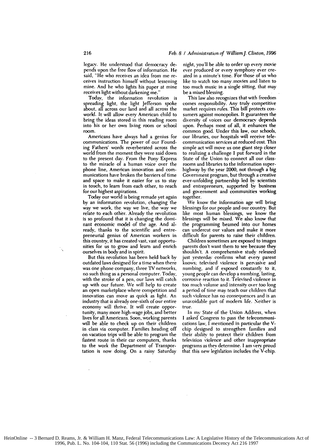legacy. He understood that democracy depends upon the free flow of information. He said, "He who receives an idea from me receives instruction himself without lessening mine. And he who lights his paper at mine receives light without darkening me."

Today, the information revolution is spreading light, the light Jefferson spoke about, all across our land and all across the world. It will allow every American child to bring the ideas stored in this reading room into his or her own living room or school room.

Americans have always had a genius for communications. The power of our Founding Fathers' words reverberated across the world from the moment they were said down to the present day. From **the** Pony Express to the miracle of a human voice over the phone line, American innovation and communications have broken the barriers of time and space to make **it** easier for us to stay in touch, to learn from each other, to reach for our highest aspirations.

Today our world is **being** remade yet again **by** an information revolution, changing the way we work, the way we live, the way we relate to each other. Already the revolution is so profound that **it** is changing the dominant economic model of the age. And already, thanks to the scientific and entrepreneurial genius of American workers in this country, **it** has created vast, vast opportunities for us to grow and learn and enrich ourselves in body and in spirit.

But this revolution has been held back by outdated laws designed for a time when there was one phone company, three TV networks, no such thing as a personal computer. Today, with the stroke of a pen, our laws will catch up with our future. We will help to create an open marketplace where competition and innovation can move as quick as light. An industry that is already one-sixth of our entire economy will thrive. It will create opportunity, many more high-wage jobs, and better lives for all Americans. Soon, working parents will be able to check up on their children in class via computer. Families heading **off** on vacation trips will be able to program the fastest route in their car computers, thanks to the work the Department of Transportation is now doing. On a rainy' Saturday

night, you'll be able to order up every movie ever produced or every symphony ever created in a minute's time. For those of us who like to watch too many.movies and listen to too much music in a single sitting, that may be a mixed blessing.

This law also recognizes that with freedom comes responsibility. Any truly competitive market requires rules. This bill protects consumers against monopolies. It guarantees the diversity of voices our democracy depends upon. Perhaps most of all, it enhances the common good. Under this law, our schools, our libraries, our hospitals will receive telecommunication services at reduced cost. This simple act will move us one giant step closer to realizing a challenge **I** put forward in the State of the Union to connect all our classrooms and libraries to the information superhighway by the year 2000, not through a big Government program, but through a creative ever-unfolding partnership led **by** scientists and entrepreneurs, supported by business and government and communities working together.

We know the Information age will bring blessings for our people and our country. But like most human blessings, we know the blessings will be mixed. We also know that the programming beamed into our homes can undercut our values and make it more difficult for parents to raise their children.

Children sometimes are exposed to images parents don't want them to see because they shouldn't. **A** comprehensive study, released just yesterday confirms what every parent knows; televised violence is pervasive and numbing, and if exposed constantly to it, young people can develop a numbing, lasting, corrosive reaction to it. Televised violence in too much volume and intensity over too long a period of time may teach our children that such violence has no consequences and is an unavoidable part of modern life. Neither is true.

In my State of the Union Address, when **I** asked' Congress to pass the telecommunications law, I mentioned in particular the Vchip designed to strengthen families and their ability to protect their children from television violence and other inappropriate programs as they determine. **I** am very proud that this new legislation includes the V-chip.

216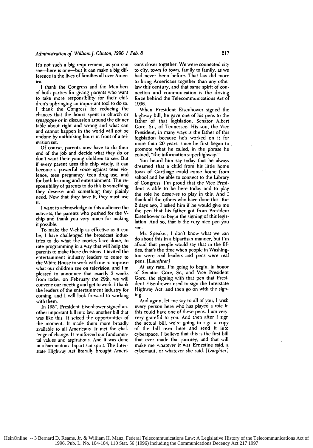It's not such a big requirement, as you can see-here is one-but it can make a big difference in the lives of families all over America.

I thank the Congress and the Members of both parties for giving parents who want to take more responsibility for their children's upbringing an important tool to do so. I thank the Congress for reducing the chances that the hours spent in church or synagogue or in discussion around the dinner table about right and wrong and what can and cannot happen in the world will not be undone by unthinking hours in front of a television set.

Of course, parents now have to do their end of the job and decide what they do or don't want their young children to see. But if every parent uses this chip wisely, it can become a powerful voice against teen violence, teen pregnancy, teen drug use, and for both learning and entertainment. The responsibility of parents to do this is something they deserve and something they plainly need. Now that they have it, they must use It.

I want to acknowledge in this audience the activists, the parents who pushed for the Vchip and thank you very much for making it possible.

To make the V-chip as effective as it can be, **I** have challenged the broadcast industries to do what the movies have done, to rate programming in a way that will help the parents to make these decisions. I invited the entertainment industry leaders to come to the White House to work with me to improve what our children see on television, and I'm pleased to announce that exactly 3 weeks from today, on February the 29th, we will convene our meeting and get to work. I thank the leaders of the entertainment industry for coming, and **I** will look forward to working with them.

In **1957,** President Eisenhower signed another important bill into law, another bill that was like this. It seized the opportunities of the moment. It made them more broadly available to all Americans. It met the challenge of change. It reinforced our fundamental values and aspirations. And it was done in a harmonious, bipartisan spirit. The Interstate Highway Act literally brought Americans closer together. We were connected city to city, town to town, family to family, as we had never been before. That law did more to bring Americans together than any other law this century, and that same spirit of connection and communication is the driving force behind the Telecommunications Act of 1996.

When President Eisenhower signed the highway bill, he gave one of his pens to the father of that legislation, Senator Albert Gore, Sr., of Tennessee. His son, the Vice President, in many ways is the father of this legislation because he's worked on it for more than 20 years, since he first began to promote what he called, in the phrase he coined, "the information superhighway."

You heard him say today that he always dreamed that a child from his little home town of Carthage could come home from school and be able to connect to the Library of Congress. I'm proud that the Vice President is able to be here today and to play the role he deserves to play in this. And I thank all the others who have done this. But 2 days ago, **I** asked him if he would give me the pen that his father got from President Eisenhower to begin the signing of this legislation. And so, that is the very nice pen you see.

Mr. Speaker, I don't know what we can do about this in a bipartisan manner, but I'm afraid that people would say that in the fifties, that's the time when people in Washington were real leaders and pens were real pens. *[Laughter]*

At any rate, I'm going to begin, in honor of Senator Core, Sr., and Vice President Gore, the signing with that pen that President Eisenhower used to sign the Interstate Highway Act, and then go on with the signing.

And again, let me say to all of you, I wish every, person here who has played a role in this could have one of these pens. **I** am very, very grateful to you. And then after I sign the actual bill, we're going to sign a copy of the bill over here and send it into cyberspace. I believe that this is the first bill that ever made that journey, and that will make me whatever it was Ernestine said, a cy'bernaut, or whatever she said. *[Laughter]*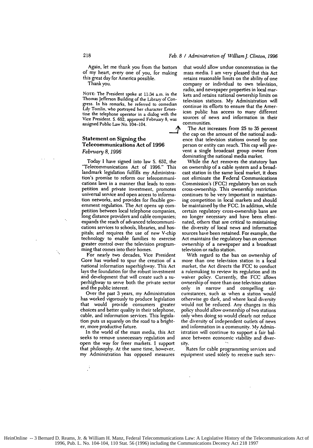Again, let me thank you from the bottom of my heart, every one of you, for making this great day for America possible.

Thank you.

**NOTE:** The President spoke at 11:34 a.m. in the Thomas Jefferson Building of the Library of Congress. In his remarks, he referred to comedian Lily Tomlin, who portrayed her character Ernestine the telephone operator in a dialog with the Vice President. S. 652, approved February 8, was assigned Public Law No. 104-104.

#### Statement on Signing **the** Telecommunications Act of **1996** *February 8, 1996*

Today I have signed into law S. 652, the "Telecommunications Act of 1996." This landmark legislation fulfills my Administration's promise to reform our telecommunications laws in a manner that leads to competition and private investment, promotes universal service and open access to information networks, and provides for flexible government regulation. The Act opens up com petition between local telephone companies, long distance providers and cable companies; expands the reach of advanced telecommunications services to schools, libraries, and hospitals; and requires the use of new V-chip technology to enable families to exercise greater control over the television programming that comes into their homes.

For nearly two decades, Vice President Core has worked to spur the creation of a national information superhighway. This Act lays the foundation for the robust investment and development that will create such a superhighway to serve both the private sector and the public interest.

Over the past 3 years, my Administration has worked vigorously to produce legislation that would provide consumers greater choices and better quality in their telephone, cable, and information services. This legislation puts us squarely on the road to a brighter, more productive future.

In the world of the mass media, this Act seeks to remove unnecessary regulation and open the way for freer markets. I support that philosophy. At the same time, however, my Administration has opposed measures that would allow undue concentration in the mass media. I am very pleased that this Act retains reasonable limits on the ability of one company or individual to own television, radio, and newspaper properties in local markets and retains national ownership limits on television stations. My Administration will continue its efforts to ensure that the American public has access to many different sources of news and information in their communities.

The Act increases from 25 to 35 percent the cap on the amount of the national audience that television stations owned *by* one person or entity can reach. This cap will prevent a single broadcast group owner from dominating the national media market.

While the Act removes the statutory ban on ownership of a cable system and a broadcast station in the same local market, it does not eliminate the Federal Communications Commission's (FCC) regulatory ban on such cross-ownership. This ownership restriction continues to be very important in maintaining competition in local markets and should be maintained by the FCC. In addition, while certain regulatory cross-ownership bans are no longer necessary and have been eliminated, others that are critical to maintaining the diversity of local news and information sources have been retained. For example, the Act maintains the regulatory ban on common ownership of a newspaper and a broadcast television or radio station.

With regard to the ban on ownership of more than one television station in a focal market, the Act directs the FCC to conduct a rulemaking to review its regulation and its waiver policy. Currently, the FCC allows ownership of more than one television station only in narrow and compelling circumstances, such as when a station would otherwise go dark, and where local diversity would not be reduced. Any changes in this policy should allow ownership of two stations only when doing so would clearly not reduce the diversity of independent outlets of news and information in a community. My Administration will continue to support a fair balance between economic viability and diversity.

Rates for cable programming serices and equipment used solely to receive such serv-

218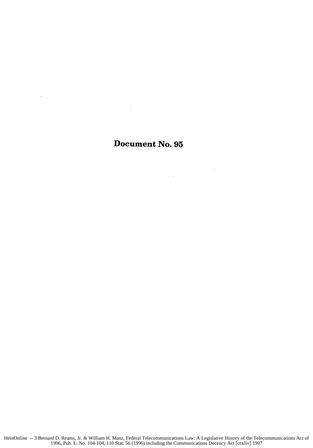## Document No. **95**

 $\hat{\boldsymbol{r}}$ 

 $\bar{\alpha}$ 

 $\overline{\phantom{a}}$ 

 $\sim$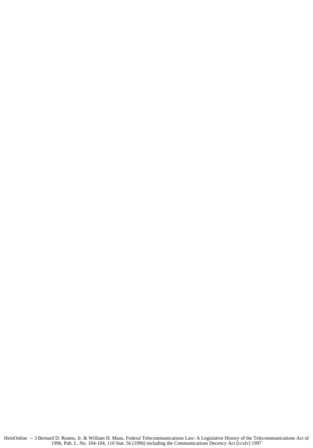HeinOnline -- 3 Bernard D. Reams, Jr. & William H. Manz, Federal Telecommunications Law: A Legislative History of the Telecommunications Act of 1996, Pub. L. No. 104-104, 110 Stat. 56 (1996) including the Communications Decency Act [ccxlv] 1997